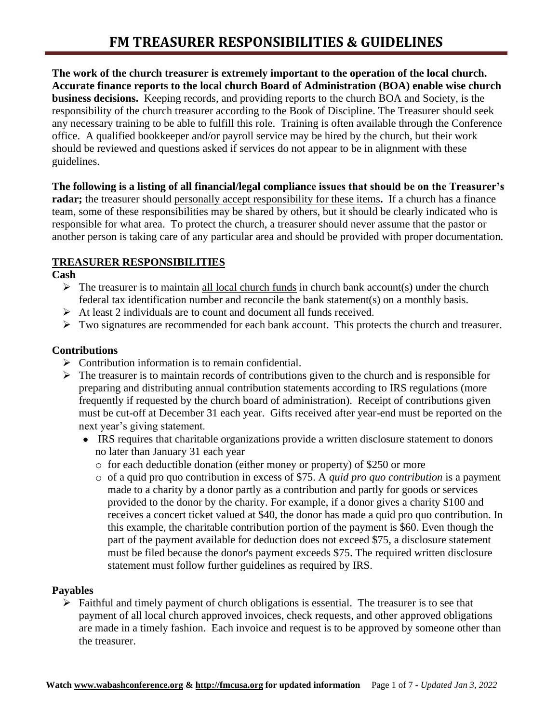**The work of the church treasurer is extremely important to the operation of the local church. Accurate finance reports to the local church Board of Administration (BOA) enable wise church business decisions.** Keeping records, and providing reports to the church BOA and Society, is the responsibility of the church treasurer according to the Book of Discipline. The Treasurer should seek any necessary training to be able to fulfill this role. Training is often available through the Conference office. A qualified bookkeeper and/or payroll service may be hired by the church, but their work should be reviewed and questions asked if services do not appear to be in alignment with these guidelines.

**The following is a listing of all financial/legal compliance issues that should be on the Treasurer's radar;** the treasurer should personally accept responsibility for these items**.** If a church has a finance team, some of these responsibilities may be shared by others, but it should be clearly indicated who is responsible for what area. To protect the church, a treasurer should never assume that the pastor or another person is taking care of any particular area and should be provided with proper documentation.

## **TREASURER RESPONSIBILITIES**

**Cash**

- $\triangleright$  The treasurer is to maintain all local church funds in church bank account(s) under the church federal tax identification number and reconcile the bank statement(s) on a monthly basis.
- ➢ At least 2 individuals are to count and document all funds received.
- $\triangleright$  Two signatures are recommended for each bank account. This protects the church and treasurer.

## **Contributions**

- ➢ Contribution information is to remain confidential.
- $\triangleright$  The treasurer is to maintain records of contributions given to the church and is responsible for preparing and distributing annual contribution statements according to IRS regulations (more frequently if requested by the church board of administration). Receipt of contributions given must be cut-off at December 31 each year. Gifts received after year-end must be reported on the next year's giving statement.
	- IRS requires that charitable organizations provide a written disclosure statement to donors no later than January 31 each year
		- o for each deductible donation (either money or property) of \$250 or more
		- o of a quid pro quo contribution in excess of \$75. A *quid pro quo contribution* is a payment made to a charity by a donor partly as a contribution and partly for goods or services provided to the donor by the charity. For example, if a donor gives a charity \$100 and receives a concert ticket valued at \$40, the donor has made a quid pro quo contribution. In this example, the charitable contribution portion of the payment is \$60. Even though the part of the payment available for deduction does not exceed \$75, a disclosure statement must be filed because the donor's payment exceeds \$75. The required written disclosure statement must follow further guidelines as required by IRS.

## **Payables**

 $\triangleright$  Faithful and timely payment of church obligations is essential. The treasurer is to see that payment of all local church approved invoices, check requests, and other approved obligations are made in a timely fashion. Each invoice and request is to be approved by someone other than the treasurer.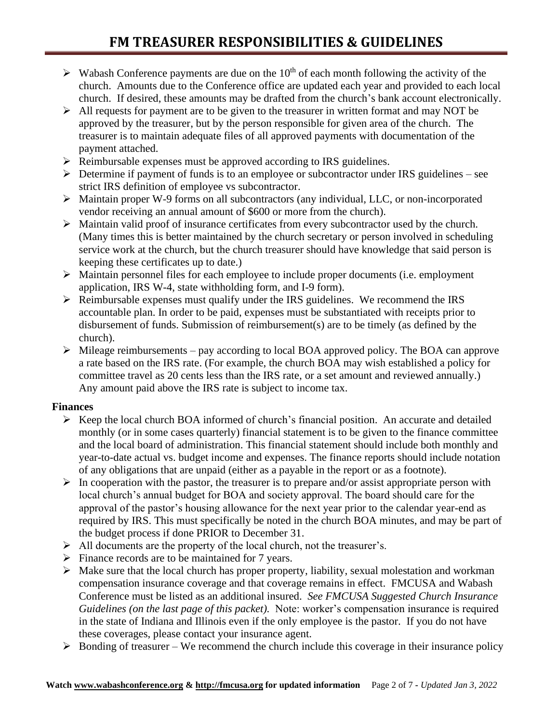- $\triangleright$  Wabash Conference payments are due on the 10<sup>th</sup> of each month following the activity of the church. Amounts due to the Conference office are updated each year and provided to each local church. If desired, these amounts may be drafted from the church's bank account electronically.
- ➢ All requests for payment are to be given to the treasurer in written format and may NOT be approved by the treasurer, but by the person responsible for given area of the church. The treasurer is to maintain adequate files of all approved payments with documentation of the payment attached.
- ➢ Reimbursable expenses must be approved according to IRS guidelines.
- ➢ Determine if payment of funds is to an employee or subcontractor under IRS guidelines see strict IRS definition of employee vs subcontractor.
- ➢ Maintain proper W-9 forms on all subcontractors (any individual, LLC, or non-incorporated vendor receiving an annual amount of \$600 or more from the church).
- ➢ Maintain valid proof of insurance certificates from every subcontractor used by the church. (Many times this is better maintained by the church secretary or person involved in scheduling service work at the church, but the church treasurer should have knowledge that said person is keeping these certificates up to date.)
- ➢ Maintain personnel files for each employee to include proper documents (i.e. employment application, IRS W-4, state withholding form, and I-9 form).
- ➢ Reimbursable expenses must qualify under the IRS guidelines. We recommend the IRS accountable plan. In order to be paid, expenses must be substantiated with receipts prior to disbursement of funds. Submission of reimbursement(s) are to be timely (as defined by the church).
- $\triangleright$  Mileage reimbursements pay according to local BOA approved policy. The BOA can approve a rate based on the IRS rate. (For example, the church BOA may wish established a policy for committee travel as 20 cents less than the IRS rate, or a set amount and reviewed annually.) Any amount paid above the IRS rate is subject to income tax.

# **Finances**

- ➢ Keep the local church BOA informed of church's financial position. An accurate and detailed monthly (or in some cases quarterly) financial statement is to be given to the finance committee and the local board of administration. This financial statement should include both monthly and year-to-date actual vs. budget income and expenses. The finance reports should include notation of any obligations that are unpaid (either as a payable in the report or as a footnote).
- $\triangleright$  In cooperation with the pastor, the treasurer is to prepare and/or assist appropriate person with local church's annual budget for BOA and society approval. The board should care for the approval of the pastor's housing allowance for the next year prior to the calendar year-end as required by IRS. This must specifically be noted in the church BOA minutes, and may be part of the budget process if done PRIOR to December 31.
- ➢ All documents are the property of the local church, not the treasurer's.
- $\triangleright$  Finance records are to be maintained for 7 years.
- $\triangleright$  Make sure that the local church has proper property, liability, sexual molestation and workman compensation insurance coverage and that coverage remains in effect. FMCUSA and Wabash Conference must be listed as an additional insured. *See FMCUSA Suggested Church Insurance Guidelines (on the last page of this packet).* Note: worker's compensation insurance is required in the state of Indiana and Illinois even if the only employee is the pastor. If you do not have these coverages, please contact your insurance agent.
- $\triangleright$  Bonding of treasurer We recommend the church include this coverage in their insurance policy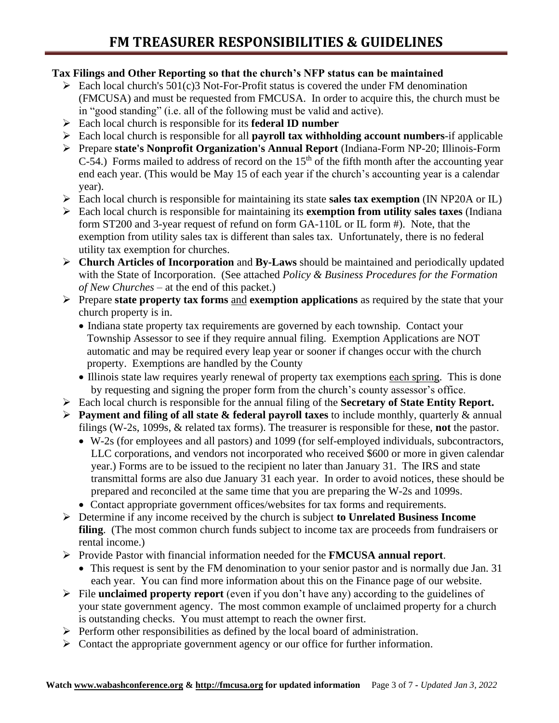## **Tax Filings and Other Reporting so that the church's NFP status can be maintained**

- $\triangleright$  Each local church's 501(c)3 Not-For-Profit status is covered the under FM denomination (FMCUSA) and must be requested from FMCUSA. In order to acquire this, the church must be in "good standing" (i.e. all of the following must be valid and active).
- ➢ Each local church is responsible for its **federal ID number**
- ➢ Each local church is responsible for all **payroll tax withholding account numbers**-if applicable
- ➢ Prepare **state's Nonprofit Organization's Annual Report** (Indiana-Form NP-20; Illinois-Form  $C$ -54.) Forms mailed to address of record on the 15<sup>th</sup> of the fifth month after the accounting year end each year. (This would be May 15 of each year if the church's accounting year is a calendar year).
- ➢ Each local church is responsible for maintaining its state **sales tax exemption** (IN NP20A or IL)
- ➢ Each local church is responsible for maintaining its **exemption from utility sales taxes** (Indiana form ST200 and 3-year request of refund on form GA-110L or IL form #). Note, that the exemption from utility sales tax is different than sales tax. Unfortunately, there is no federal utility tax exemption for churches.
- ➢ **Church Articles of Incorporation** and **By-Laws** should be maintained and periodically updated with the State of Incorporation. (See attached *Policy & Business Procedures for the Formation of New Churches* – at the end of this packet.)
- ➢ Prepare **state property tax forms** and **exemption applications** as required by the state that your church property is in.
	- Indiana state property tax requirements are governed by each township. Contact your Township Assessor to see if they require annual filing. Exemption Applications are NOT automatic and may be required every leap year or sooner if changes occur with the church property. Exemptions are handled by the County
	- Illinois state law requires yearly renewal of property tax exemptions each spring. This is done by requesting and signing the proper form from the church's county assessor's office.
- ➢ Each local church is responsible for the annual filing of the **Secretary of State Entity Report.**
- ➢ **Payment and filing of all state & federal payroll taxes** to include monthly, quarterly & annual filings (W-2s, 1099s, & related tax forms). The treasurer is responsible for these, **not** the pastor.
	- W-2s (for employees and all pastors) and 1099 (for self-employed individuals, subcontractors, LLC corporations, and vendors not incorporated who received \$600 or more in given calendar year.) Forms are to be issued to the recipient no later than January 31. The IRS and state transmittal forms are also due January 31 each year. In order to avoid notices, these should be prepared and reconciled at the same time that you are preparing the W-2s and 1099s.
	- Contact appropriate government offices/websites for tax forms and requirements.
- ➢ Determine if any income received by the church is subject **to Unrelated Business Income filing**. (The most common church funds subject to income tax are proceeds from fundraisers or rental income.)
- ➢ Provide Pastor with financial information needed for the **FMCUSA annual report**.
	- This request is sent by the FM denomination to your senior pastor and is normally due Jan. 31 each year. You can find more information about this on the Finance page of our website.
- ➢ File **unclaimed property report** (even if you don't have any) according to the guidelines of your state government agency. The most common example of unclaimed property for a church is outstanding checks. You must attempt to reach the owner first.
- ➢ Perform other responsibilities as defined by the local board of administration.
- ➢ Contact the appropriate government agency or our office for further information.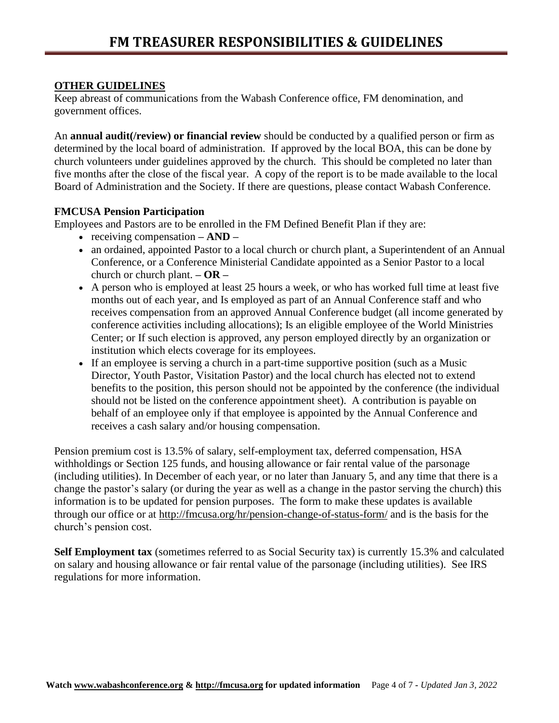## **OTHER GUIDELINES**

Keep abreast of communications from the Wabash Conference office, FM denomination, and government offices.

An **annual audit(/review) or financial review** should be conducted by a qualified person or firm as determined by the local board of administration. If approved by the local BOA, this can be done by church volunteers under guidelines approved by the church. This should be completed no later than five months after the close of the fiscal year. A copy of the report is to be made available to the local Board of Administration and the Society. If there are questions, please contact Wabash Conference.

## **FMCUSA Pension Participation**

Employees and Pastors are to be enrolled in the FM Defined Benefit Plan if they are:

- receiving compensation **– AND –**
- an ordained, appointed Pastor to a local church or church plant, a Superintendent of an Annual Conference, or a Conference Ministerial Candidate appointed as a Senior Pastor to a local church or church plant. **– OR –**
- A person who is employed at least 25 hours a week, or who has worked full time at least five months out of each year, and Is employed as part of an Annual Conference staff and who receives compensation from an approved Annual Conference budget (all income generated by conference activities including allocations); Is an eligible employee of the World Ministries Center; or If such election is approved, any person employed directly by an organization or institution which elects coverage for its employees.
- If an employee is serving a church in a part-time supportive position (such as a Music Director, Youth Pastor, Visitation Pastor) and the local church has elected not to extend benefits to the position, this person should not be appointed by the conference (the individual should not be listed on the conference appointment sheet). A contribution is payable on behalf of an employee only if that employee is appointed by the Annual Conference and receives a cash salary and/or housing compensation.

Pension premium cost is 13.5% of salary, self-employment tax, deferred compensation, HSA withholdings or Section 125 funds, and housing allowance or fair rental value of the parsonage (including utilities). In December of each year, or no later than January 5, and any time that there is a change the pastor's salary (or during the year as well as a change in the pastor serving the church) this information is to be updated for pension purposes. The form to make these updates is available through our office or at<http://fmcusa.org/hr/pension-change-of-status-form/> and is the basis for the church's pension cost.

**Self Employment tax** (sometimes referred to as Social Security tax) is currently 15.3% and calculated on salary and housing allowance or fair rental value of the parsonage (including utilities). See IRS regulations for more information.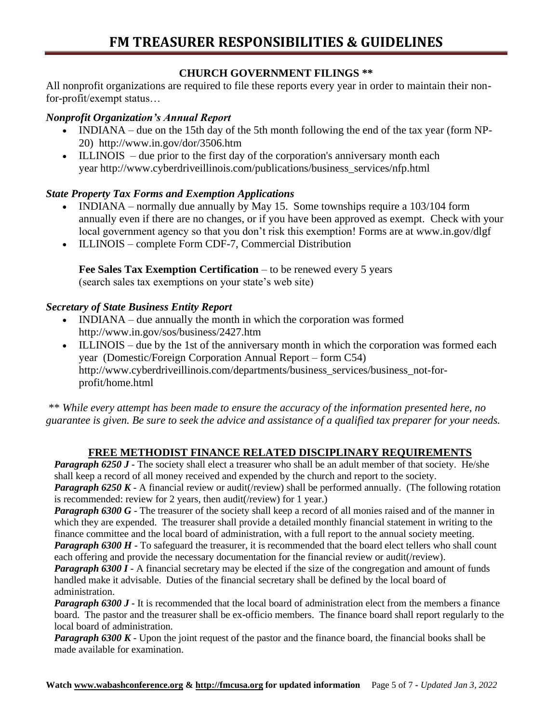## **CHURCH GOVERNMENT FILINGS \*\***

All nonprofit organizations are required to file these reports every year in order to maintain their nonfor-profit/exempt status…

## *Nonprofit Organization's Annual Report*

- INDIANA due on the 15th day of the 5th month following the end of the tax year (form NP-20) <http://www.in.gov/dor/3506.htm>
- ILLINOIS due prior to the first day of the corporation's anniversary month each year [http://www.cyberdriveillinois.com/publications/business\\_services/nfp.html](http://www.cyberdriveillinois.com/publications/business_services/nfp.html)

## *State Property Tax Forms and Exemption Applications*

- INDIANA normally due annually by May 15. Some townships require a 103/104 form annually even if there are no changes, or if you have been approved as exempt. Check with your local government agency so that you don't risk this exemption! Forms are at [www.in.gov/dlgf](http://www.in.gov/dlgf)
- ILLINOIS complete Form CDF-7, Commercial Distribution

**Fee Sales Tax Exemption Certification** – to be renewed every 5 years (search sales tax exemptions on your state's web site)

## *Secretary of State Business Entity Report*

- INDIANA due annually the month in which the corporation was formed <http://www.in.gov/sos/business/2427.htm>
- ILLINOIS due by the 1st of the anniversary month in which the corporation was formed each year (Domestic/Foreign Corporation Annual Report – form C54) [http://www.cyberdriveillinois.com/departments/business\\_services/business\\_not-for](http://www.cyberdriveillinois.com/departments/business_services/business_not-for-profit/home.html)[profit/home.html](http://www.cyberdriveillinois.com/departments/business_services/business_not-for-profit/home.html)

\*\* *While every attempt has been made to ensure the accuracy of the information presented here, no guarantee is given. Be sure to seek the advice and assistance of a qualified tax preparer for your needs.*

# **FREE METHODIST FINANCE RELATED DISCIPLINARY REQUIREMENTS**

*Paragraph 6250 J* - The society shall elect a treasurer who shall be an adult member of that society. He/she shall keep a record of all money received and expended by the church and report to the society. *Paragraph 6250 K* - A financial review or audit(/review) shall be performed annually. (The following rotation is recommended: review for 2 years, then audit(/review) for 1 year.)

*Paragraph 6300 G* - The treasurer of the society shall keep a record of all monies raised and of the manner in which they are expended. The treasurer shall provide a detailed monthly financial statement in writing to the finance committee and the local board of administration, with a full report to the annual society meeting. *Paragraph 6300 H* - To safeguard the treasurer, it is recommended that the board elect tellers who shall count

each offering and provide the necessary documentation for the financial review or audit(/review).

*Paragraph 6300 I* - A financial secretary may be elected if the size of the congregation and amount of funds handled make it advisable. Duties of the financial secretary shall be defined by the local board of administration.

*Paragraph 6300 J* - It is recommended that the local board of administration elect from the members a finance board. The pastor and the treasurer shall be ex-officio members. The finance board shall report regularly to the local board of administration.

*Paragraph 6300 K* - Upon the joint request of the pastor and the finance board, the financial books shall be made available for examination.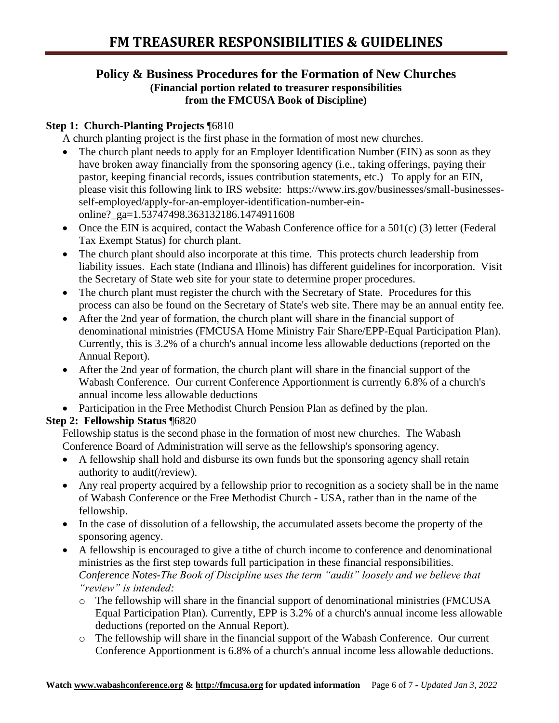## **Policy & Business Procedures for the Formation of New Churches (Financial portion related to treasurer responsibilities from the FMCUSA Book of Discipline)**

# **Step 1: Church-Planting Projects** ¶6810

A church planting project is the first phase in the formation of most new churches.

- The church plant needs to apply for an Employer Identification Number (EIN) as soon as they have broken away financially from the sponsoring agency (i.e., taking offerings, paying their pastor, keeping financial records, issues contribution statements, etc.) To apply for an EIN, please visit this following link to IRS website: https://www.irs.gov/businesses/small-businessesself-employed/apply-for-an-employer-identification-number-einonline?\_ga=1.53747498.363132186.1474911608
- Once the EIN is acquired, contact the Wabash Conference office for a 501(c) (3) letter (Federal Tax Exempt Status) for church plant.
- The church plant should also incorporate at this time. This protects church leadership from liability issues. Each state (Indiana and Illinois) has different guidelines for incorporation. Visit the Secretary of State web site for your state to determine proper procedures.
- The church plant must register the church with the Secretary of State. Procedures for this process can also be found on the Secretary of State's web site. There may be an annual entity fee.
- After the 2nd year of formation, the church plant will share in the financial support of denominational ministries (FMCUSA Home Ministry Fair Share/EPP-Equal Participation Plan). Currently, this is 3.2% of a church's annual income less allowable deductions (reported on the Annual Report).
- After the 2nd year of formation, the church plant will share in the financial support of the Wabash Conference. Our current Conference Apportionment is currently 6.8% of a church's annual income less allowable deductions
- Participation in the Free Methodist Church Pension Plan as defined by the plan.

# **Step 2: Fellowship Status** ¶6820

Fellowship status is the second phase in the formation of most new churches. The Wabash Conference Board of Administration will serve as the fellowship's sponsoring agency.

- A fellowship shall hold and disburse its own funds but the sponsoring agency shall retain authority to audit(/review).
- Any real property acquired by a fellowship prior to recognition as a society shall be in the name of Wabash Conference or the Free Methodist Church - USA, rather than in the name of the fellowship.
- In the case of dissolution of a fellowship, the accumulated assets become the property of the sponsoring agency.
- A fellowship is encouraged to give a tithe of church income to conference and denominational ministries as the first step towards full participation in these financial responsibilities. *Conference Notes-The Book of Discipline uses the term "audit" loosely and we believe that "review" is intended:*
	- o The fellowship will share in the financial support of denominational ministries (FMCUSA Equal Participation Plan). Currently, EPP is 3.2% of a church's annual income less allowable deductions (reported on the Annual Report).
	- o The fellowship will share in the financial support of the Wabash Conference. Our current Conference Apportionment is 6.8% of a church's annual income less allowable deductions.